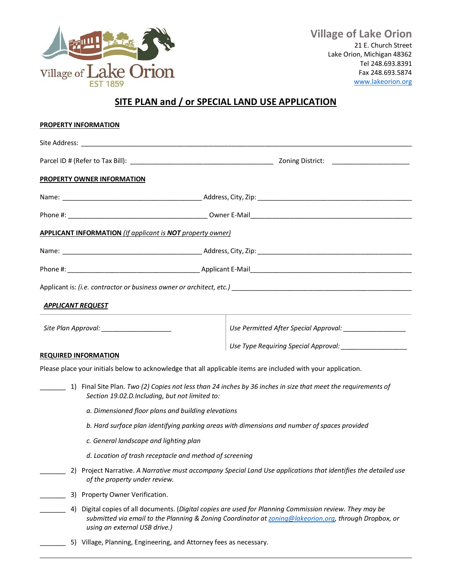

**Village of Lake Orion** 21 E. Church Street Lake Orion, Michigan 48362 Tel 248.693.8391 Fax 248.693.5874 www.lakeorion.org

## **SITE PLAN and / or SPECIAL LAND USE APPLICATION**

|                                            |     | <b>PROPERTY INFORMATION</b>                                                                                   |                                                                                                                                                                                                                |
|--------------------------------------------|-----|---------------------------------------------------------------------------------------------------------------|----------------------------------------------------------------------------------------------------------------------------------------------------------------------------------------------------------------|
|                                            |     |                                                                                                               |                                                                                                                                                                                                                |
|                                            |     |                                                                                                               |                                                                                                                                                                                                                |
|                                            |     | PROPERTY OWNER INFORMATION                                                                                    |                                                                                                                                                                                                                |
|                                            |     |                                                                                                               |                                                                                                                                                                                                                |
|                                            |     |                                                                                                               |                                                                                                                                                                                                                |
|                                            |     | <b>APPLICANT INFORMATION</b> (If applicant is <b>NOT</b> property owner)                                      |                                                                                                                                                                                                                |
|                                            |     |                                                                                                               |                                                                                                                                                                                                                |
|                                            |     |                                                                                                               |                                                                                                                                                                                                                |
|                                            |     |                                                                                                               |                                                                                                                                                                                                                |
|                                            |     |                                                                                                               |                                                                                                                                                                                                                |
|                                            |     | <b>APPLICANT REQUEST</b>                                                                                      |                                                                                                                                                                                                                |
| Site Plan Approval: ______________________ |     |                                                                                                               |                                                                                                                                                                                                                |
|                                            |     |                                                                                                               |                                                                                                                                                                                                                |
|                                            |     | <b>REQUIRED INFORMATION</b>                                                                                   |                                                                                                                                                                                                                |
|                                            |     | Please place your initials below to acknowledge that all applicable items are included with your application. |                                                                                                                                                                                                                |
|                                            |     | Section 19.02.D.Including, but not limited to:                                                                | 1) Final Site Plan. Two (2) Copies not less than 24 inches by 36 inches in size that meet the requirements of                                                                                                  |
|                                            |     | a. Dimensioned floor plans and building elevations                                                            |                                                                                                                                                                                                                |
|                                            |     |                                                                                                               | b. Hard surface plan identifying parking areas with dimensions and number of spaces provided                                                                                                                   |
|                                            |     | c. General landscape and lighting plan                                                                        |                                                                                                                                                                                                                |
|                                            |     | d. Location of trash receptacle and method of screening                                                       |                                                                                                                                                                                                                |
|                                            |     | of the property under review.                                                                                 | 2) Project Narrative. A Narrative must accompany Special Land Use applications that identifies the detailed use                                                                                                |
|                                            | 3). | Property Owner Verification.                                                                                  |                                                                                                                                                                                                                |
|                                            | 4)  | using an external USB drive.)                                                                                 | Digital copies of all documents. (Digital copies are used for Planning Commission review. They may be<br>submitted via email to the Planning & Zoning Coordinator at zoning@lakeorion.org, through Dropbox, or |
|                                            |     | 5) Village, Planning, Engineering, and Attorney fees as necessary.                                            |                                                                                                                                                                                                                |